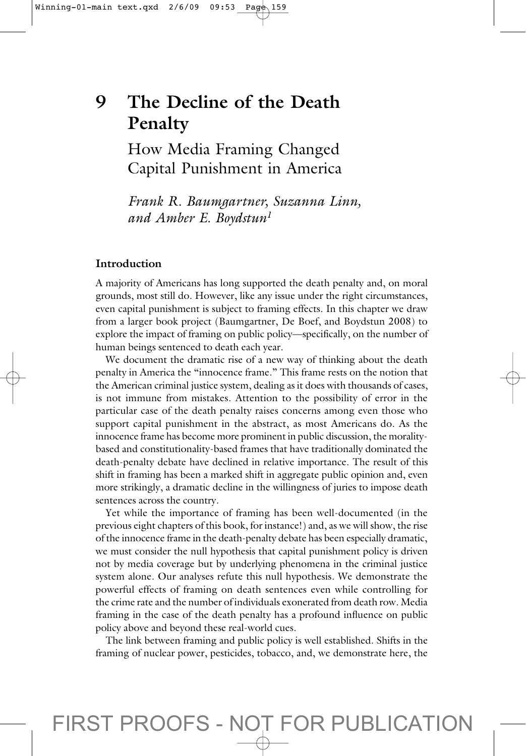# How Media Framing Changed Capital Punishment in America

*Frank R. Baumgartner, Suzanna Linn, and Amber E. Boydstun1*

# **Introduction**

A majority of Americans has long supported the death penalty and, on moral grounds, most still do. However, like any issue under the right circumstances, even capital punishment is subject to framing effects. In this chapter we draw from a larger book project (Baumgartner, De Boef, and Boydstun 2008) to explore the impact of framing on public policy—specifically, on the number of human beings sentenced to death each year.

We document the dramatic rise of a new way of thinking about the death penalty in America the "innocence frame." This frame rests on the notion that the American criminal justice system, dealing as it does with thousands of cases, is not immune from mistakes. Attention to the possibility of error in the particular case of the death penalty raises concerns among even those who support capital punishment in the abstract, as most Americans do. As the innocence frame has become more prominent in public discussion, the moralitybased and constitutionality-based frames that have traditionally dominated the death-penalty debate have declined in relative importance. The result of this shift in framing has been a marked shift in aggregate public opinion and, even more strikingly, a dramatic decline in the willingness of juries to impose death sentences across the country.

Yet while the importance of framing has been well-documented (in the previous eight chapters of this book, for instance!) and, as we will show, the rise of the innocence frame in the death-penalty debate has been especially dramatic, we must consider the null hypothesis that capital punishment policy is driven not by media coverage but by underlying phenomena in the criminal justice system alone. Our analyses refute this null hypothesis. We demonstrate the powerful effects of framing on death sentences even while controlling for the crime rate and the number of individuals exonerated from death row. Media framing in the case of the death penalty has a profound influence on public policy above and beyond these real-world cues.

The link between framing and public policy is well established. Shifts in the framing of nuclear power, pesticides, tobacco, and, we demonstrate here, the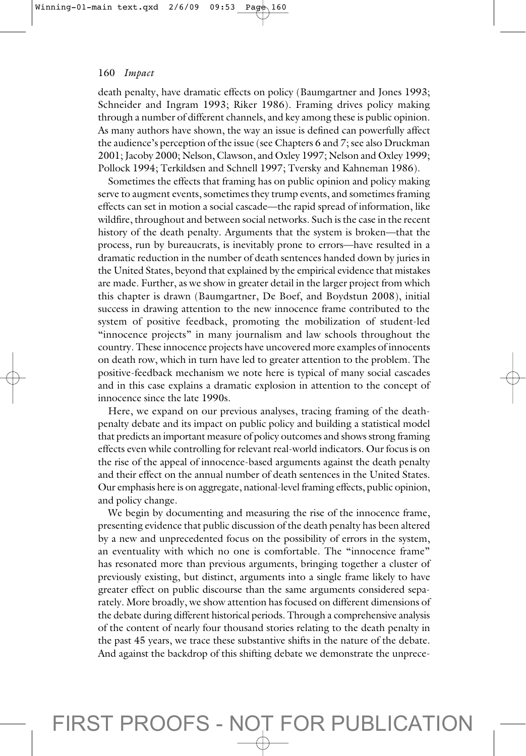death penalty, have dramatic effects on policy (Baumgartner and Jones 1993; Schneider and Ingram 1993; Riker 1986). Framing drives policy making through a number of different channels, and key among these is public opinion. As many authors have shown, the way an issue is defined can powerfully affect the audience's perception of the issue (see Chapters 6 and 7; see also Druckman 2001; Jacoby 2000; Nelson, Clawson, and Oxley 1997; Nelson and Oxley 1999; Pollock 1994; Terkildsen and Schnell 1997; Tversky and Kahneman 1986).

Sometimes the effects that framing has on public opinion and policy making serve to augment events, sometimes they trump events, and sometimes framing effects can set in motion a social cascade—the rapid spread of information, like wildfire, throughout and between social networks. Such is the case in the recent history of the death penalty. Arguments that the system is broken—that the process, run by bureaucrats, is inevitably prone to errors—have resulted in a dramatic reduction in the number of death sentences handed down by juries in the United States, beyond that explained by the empirical evidence that mistakes are made. Further, as we show in greater detail in the larger project from which this chapter is drawn (Baumgartner, De Boef, and Boydstun 2008), initial success in drawing attention to the new innocence frame contributed to the system of positive feedback, promoting the mobilization of student-led "innocence projects" in many journalism and law schools throughout the country. These innocence projects have uncovered more examples of innocents on death row, which in turn have led to greater attention to the problem. The positive-feedback mechanism we note here is typical of many social cascades and in this case explains a dramatic explosion in attention to the concept of innocence since the late 1990s.

Here, we expand on our previous analyses, tracing framing of the deathpenalty debate and its impact on public policy and building a statistical model that predicts an important measure of policy outcomes and shows strong framing effects even while controlling for relevant real-world indicators. Our focus is on the rise of the appeal of innocence-based arguments against the death penalty and their effect on the annual number of death sentences in the United States. Our emphasis here is on aggregate, national-level framing effects, public opinion, and policy change.

We begin by documenting and measuring the rise of the innocence frame, presenting evidence that public discussion of the death penalty has been altered by a new and unprecedented focus on the possibility of errors in the system, an eventuality with which no one is comfortable. The "innocence frame" has resonated more than previous arguments, bringing together a cluster of previously existing, but distinct, arguments into a single frame likely to have greater effect on public discourse than the same arguments considered separately. More broadly, we show attention has focused on different dimensions of the debate during different historical periods. Through a comprehensive analysis of the content of nearly four thousand stories relating to the death penalty in the past 45 years, we trace these substantive shifts in the nature of the debate. And against the backdrop of this shifting debate we demonstrate the unprece-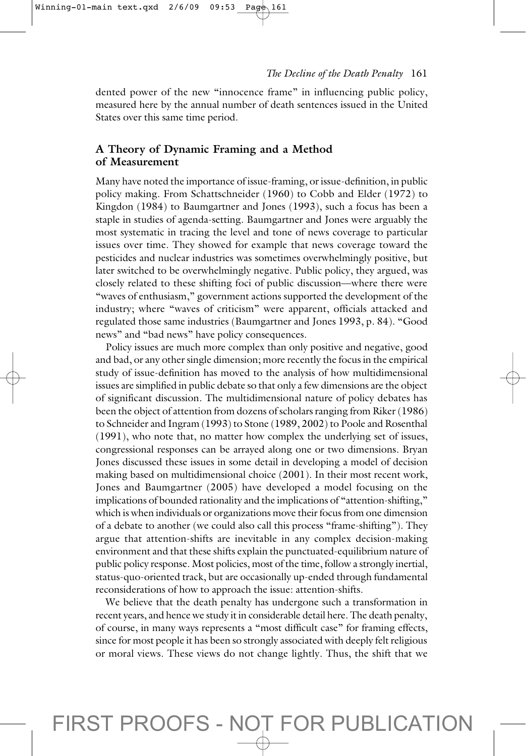dented power of the new "innocence frame" in influencing public policy, measured here by the annual number of death sentences issued in the United States over this same time period.

# **A Theory of Dynamic Framing and a Method of Measurement**

Many have noted the importance of issue-framing, or issue-definition, in public policy making. From Schattschneider (1960) to Cobb and Elder (1972) to Kingdon (1984) to Baumgartner and Jones (1993), such a focus has been a staple in studies of agenda-setting. Baumgartner and Jones were arguably the most systematic in tracing the level and tone of news coverage to particular issues over time. They showed for example that news coverage toward the pesticides and nuclear industries was sometimes overwhelmingly positive, but later switched to be overwhelmingly negative. Public policy, they argued, was closely related to these shifting foci of public discussion—where there were "waves of enthusiasm," government actions supported the development of the industry; where "waves of criticism" were apparent, officials attacked and regulated those same industries (Baumgartner and Jones 1993, p. 84). "Good news" and "bad news" have policy consequences.

Policy issues are much more complex than only positive and negative, good and bad, or any other single dimension; more recently the focus in the empirical study of issue-definition has moved to the analysis of how multidimensional issues are simplified in public debate so that only a few dimensions are the object of significant discussion. The multidimensional nature of policy debates has been the object of attention from dozens of scholars ranging from Riker (1986) to Schneider and Ingram (1993) to Stone (1989, 2002) to Poole and Rosenthal (1991), who note that, no matter how complex the underlying set of issues, congressional responses can be arrayed along one or two dimensions. Bryan Jones discussed these issues in some detail in developing a model of decision making based on multidimensional choice (2001). In their most recent work, Jones and Baumgartner (2005) have developed a model focusing on the implications of bounded rationality and the implications of "attention-shifting," which is when individuals or organizations move their focus from one dimension of a debate to another (we could also call this process "frame-shifting"). They argue that attention-shifts are inevitable in any complex decision-making environment and that these shifts explain the punctuated-equilibrium nature of public policy response. Most policies, most of the time, follow a strongly inertial, status-quo-oriented track, but are occasionally up-ended through fundamental reconsiderations of how to approach the issue: attention-shifts.

We believe that the death penalty has undergone such a transformation in recent years, and hence we study it in considerable detail here. The death penalty, of course, in many ways represents a "most difficult case" for framing effects, since for most people it has been so strongly associated with deeply felt religious or moral views. These views do not change lightly. Thus, the shift that we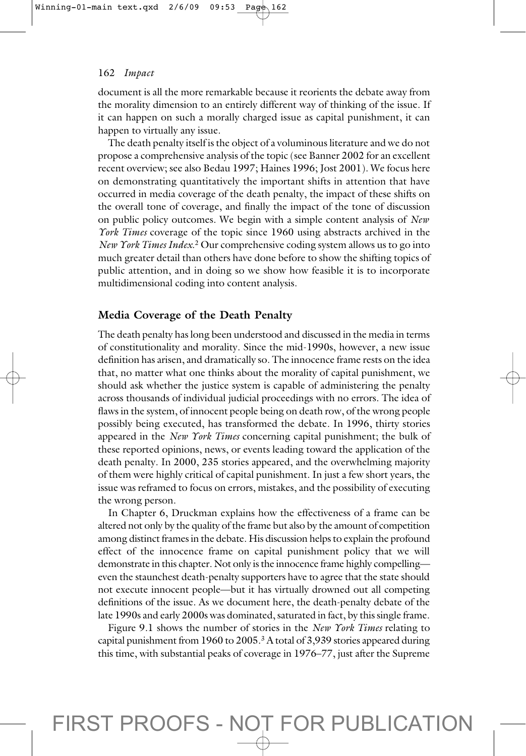document is all the more remarkable because it reorients the debate away from the morality dimension to an entirely different way of thinking of the issue. If it can happen on such a morally charged issue as capital punishment, it can happen to virtually any issue.

The death penalty itself is the object of a voluminous literature and we do not propose a comprehensive analysis of the topic (see Banner 2002 for an excellent recent overview; see also Bedau 1997; Haines 1996; Jost 2001). We focus here on demonstrating quantitatively the important shifts in attention that have occurred in media coverage of the death penalty, the impact of these shifts on the overall tone of coverage, and finally the impact of the tone of discussion on public policy outcomes. We begin with a simple content analysis of *New York Times* coverage of the topic since 1960 using abstracts archived in the *New York Times Index*. <sup>2</sup> Our comprehensive coding system allows us to go into much greater detail than others have done before to show the shifting topics of public attention, and in doing so we show how feasible it is to incorporate multidimensional coding into content analysis.

# **Media Coverage of the Death Penalty**

The death penalty has long been understood and discussed in the media in terms of constitutionality and morality. Since the mid-1990s, however, a new issue definition has arisen, and dramatically so. The innocence frame rests on the idea that, no matter what one thinks about the morality of capital punishment, we should ask whether the justice system is capable of administering the penalty across thousands of individual judicial proceedings with no errors. The idea of flaws in the system, of innocent people being on death row, of the wrong people possibly being executed, has transformed the debate. In 1996, thirty stories appeared in the *New York Times* concerning capital punishment; the bulk of these reported opinions, news, or events leading toward the application of the death penalty. In 2000, 235 stories appeared, and the overwhelming majority of them were highly critical of capital punishment. In just a few short years, the issue was reframed to focus on errors, mistakes, and the possibility of executing the wrong person.

In Chapter 6, Druckman explains how the effectiveness of a frame can be altered not only by the quality of the frame but also by the amount of competition among distinct frames in the debate. His discussion helps to explain the profound effect of the innocence frame on capital punishment policy that we will demonstrate in this chapter. Not only is the innocence frame highly compelling even the staunchest death-penalty supporters have to agree that the state should not execute innocent people—but it has virtually drowned out all competing definitions of the issue. As we document here, the death-penalty debate of the late 1990s and early 2000s was dominated, saturated in fact, by this single frame.

Figure 9.1 shows the number of stories in the *New York Times* relating to capital punishment from 1960 to 2005.<sup>3</sup> A total of 3,939 stories appeared during this time, with substantial peaks of coverage in 1976–77, just after the Supreme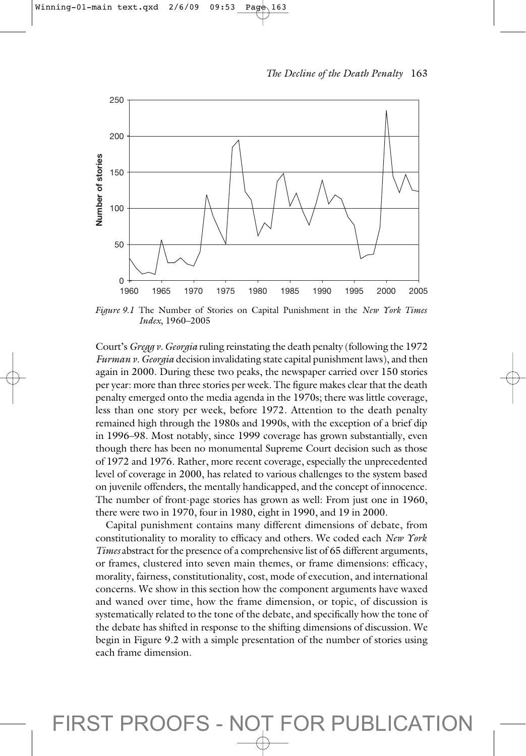*The Decline of the Death Penalty* 163



*Figure 9.1* The Number of Stories on Capital Punishment in the *New York Times Index*, 1960–2005

Court's *Gregg v. Georgia* ruling reinstating the death penalty (following the 1972 *Furman v. Georgia* decision invalidating state capital punishment laws), and then again in 2000. During these two peaks, the newspaper carried over 150 stories per year: more than three stories per week. The figure makes clear that the death penalty emerged onto the media agenda in the 1970s; there was little coverage, less than one story per week, before 1972. Attention to the death penalty remained high through the 1980s and 1990s, with the exception of a brief dip in 1996–98. Most notably, since 1999 coverage has grown substantially, even though there has been no monumental Supreme Court decision such as those of 1972 and 1976. Rather, more recent coverage, especially the unprecedented level of coverage in 2000, has related to various challenges to the system based on juvenile offenders, the mentally handicapped, and the concept of innocence. The number of front-page stories has grown as well: From just one in 1960, there were two in 1970, four in 1980, eight in 1990, and 19 in 2000.

Capital punishment contains many different dimensions of debate, from constitutionality to morality to efficacy and others. We coded each *New York Times* abstract for the presence of a comprehensive list of 65 different arguments, or frames, clustered into seven main themes, or frame dimensions: efficacy, morality, fairness, constitutionality, cost, mode of execution, and international concerns. We show in this section how the component arguments have waxed and waned over time, how the frame dimension, or topic, of discussion is systematically related to the tone of the debate, and specifically how the tone of the debate has shifted in response to the shifting dimensions of discussion. We begin in Figure 9.2 with a simple presentation of the number of stories using each frame dimension.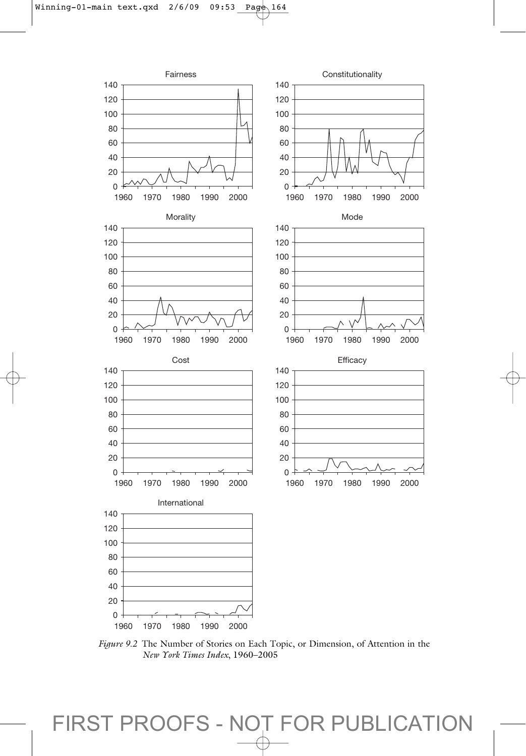

*Figure 9.2* The Number of Stories on Each Topic, or Dimension, of Attention in the *New York Times Index*, 1960–2005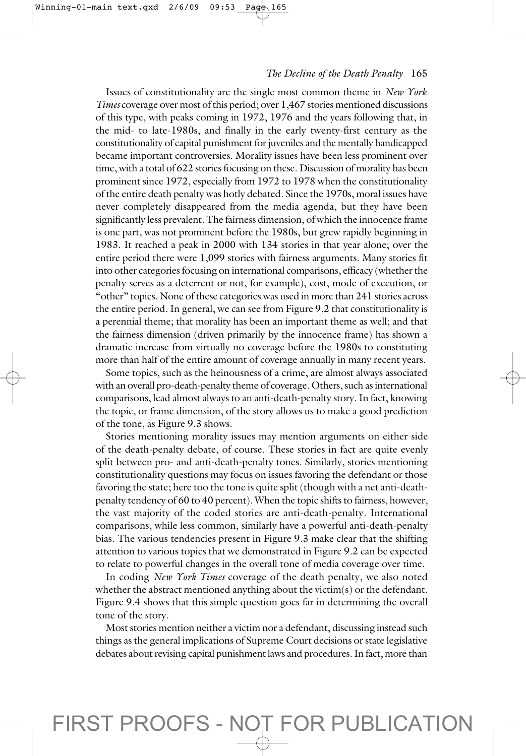Issues of constitutionality are the single most common theme in *New York Times* coverage over most of this period; over 1,467 stories mentioned discussions of this type, with peaks coming in 1972, 1976 and the years following that, in the mid- to late-1980s, and finally in the early twenty-first century as the constitutionality of capital punishment for juveniles and the mentally handicapped became important controversies. Morality issues have been less prominent over time, with a total of 622 stories focusing on these. Discussion of morality has been prominent since 1972, especially from 1972 to 1978 when the constitutionality of the entire death penalty was hotly debated. Since the 1970s, moral issues have never completely disappeared from the media agenda, but they have been significantly less prevalent. The fairness dimension, of which the innocence frame is one part, was not prominent before the 1980s, but grew rapidly beginning in 1983. It reached a peak in 2000 with 134 stories in that year alone; over the entire period there were 1,099 stories with fairness arguments. Many stories fit into other categories focusing on international comparisons, efficacy (whether the penalty serves as a deterrent or not, for example), cost, mode of execution, or "other" topics. None of these categories was used in more than 241 stories across the entire period. In general, we can see from Figure 9.2 that constitutionality is a perennial theme; that morality has been an important theme as well; and that the fairness dimension (driven primarily by the innocence frame) has shown a dramatic increase from virtually no coverage before the 1980s to constituting more than half of the entire amount of coverage annually in many recent years.

Some topics, such as the heinousness of a crime, are almost always associated with an overall pro-death-penalty theme of coverage. Others, such as international comparisons, lead almost always to an anti-death-penalty story. In fact, knowing the topic, or frame dimension, of the story allows us to make a good prediction of the tone, as Figure 9.3 shows.

Stories mentioning morality issues may mention arguments on either side of the death-penalty debate, of course. These stories in fact are quite evenly split between pro- and anti-death-penalty tones. Similarly, stories mentioning constitutionality questions may focus on issues favoring the defendant or those favoring the state; here too the tone is quite split (though with a net anti-deathpenalty tendency of 60 to 40 percent). When the topic shifts to fairness, however, the vast majority of the coded stories are anti-death-penalty. International comparisons, while less common, similarly have a powerful anti-death-penalty bias. The various tendencies present in Figure 9.3 make clear that the shifting attention to various topics that we demonstrated in Figure 9.2 can be expected to relate to powerful changes in the overall tone of media coverage over time.

In coding *New York Times* coverage of the death penalty, we also noted whether the abstract mentioned anything about the victim(s) or the defendant. Figure 9.4 shows that this simple question goes far in determining the overall tone of the story.

Most stories mention neither a victim nor a defendant, discussing instead such things as the general implications of Supreme Court decisions or state legislative debates about revising capital punishment laws and procedures. In fact, more than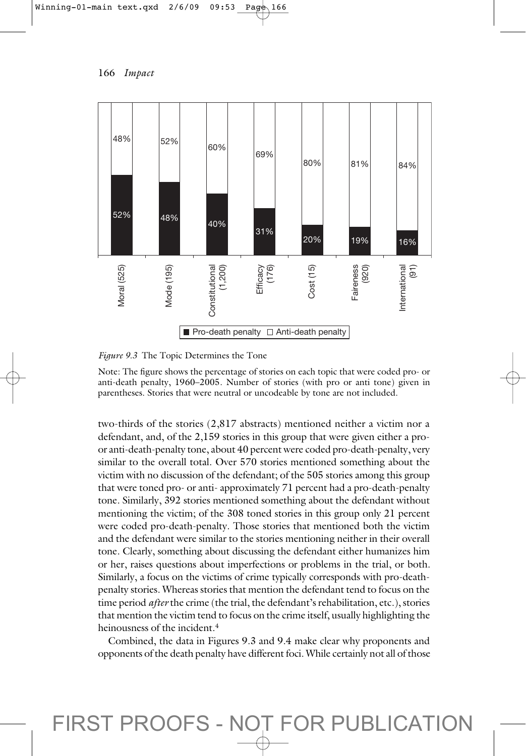



*Figure 9.3* The Topic Determines the Tone

Note: The figure shows the percentage of stories on each topic that were coded pro- or anti-death penalty, 1960–2005. Number of stories (with pro or anti tone) given in parentheses. Stories that were neutral or uncodeable by tone are not included.

two-thirds of the stories (2,817 abstracts) mentioned neither a victim nor a defendant, and, of the 2,159 stories in this group that were given either a proor anti-death-penalty tone, about 40 percent were coded pro-death-penalty, very similar to the overall total. Over 570 stories mentioned something about the victim with no discussion of the defendant; of the 505 stories among this group that were toned pro- or anti- approximately 71 percent had a pro-death-penalty tone. Similarly, 392 stories mentioned something about the defendant without mentioning the victim; of the 308 toned stories in this group only 21 percent were coded pro-death-penalty. Those stories that mentioned both the victim and the defendant were similar to the stories mentioning neither in their overall tone. Clearly, something about discussing the defendant either humanizes him or her, raises questions about imperfections or problems in the trial, or both. Similarly, a focus on the victims of crime typically corresponds with pro-deathpenalty stories. Whereas stories that mention the defendant tend to focus on the time period *after* the crime (the trial, the defendant's rehabilitation, etc.), stories that mention the victim tend to focus on the crime itself, usually highlighting the heinousness of the incident.<sup>4</sup>

Combined, the data in Figures 9.3 and 9.4 make clear why proponents and opponents of the death penalty have different foci. While certainly not all of those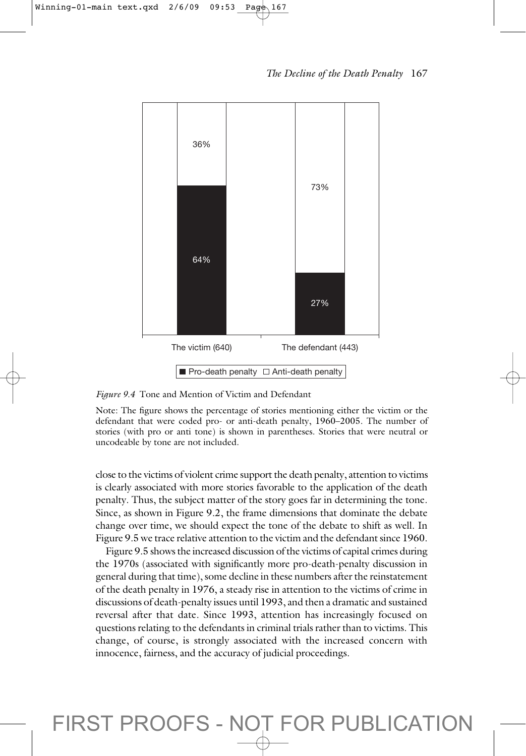

*Figure 9.4* Tone and Mention of Victim and Defendant

Note: The figure shows the percentage of stories mentioning either the victim or the defendant that were coded pro- or anti-death penalty, 1960–2005. The number of stories (with pro or anti tone) is shown in parentheses. Stories that were neutral or uncodeable by tone are not included.

close to the victims of violent crime support the death penalty, attention to victims is clearly associated with more stories favorable to the application of the death penalty. Thus, the subject matter of the story goes far in determining the tone. Since, as shown in Figure 9.2, the frame dimensions that dominate the debate change over time, we should expect the tone of the debate to shift as well. In Figure 9.5 we trace relative attention to the victim and the defendant since 1960.

Figure 9.5 shows the increased discussion of the victims of capital crimes during the 1970s (associated with significantly more pro-death-penalty discussion in general during that time), some decline in these numbers after the reinstatement of the death penalty in 1976, a steady rise in attention to the victims of crime in discussions of death-penalty issues until 1993, and then a dramatic and sustained reversal after that date. Since 1993, attention has increasingly focused on questions relating to the defendants in criminal trials rather than to victims. This change, of course, is strongly associated with the increased concern with innocence, fairness, and the accuracy of judicial proceedings.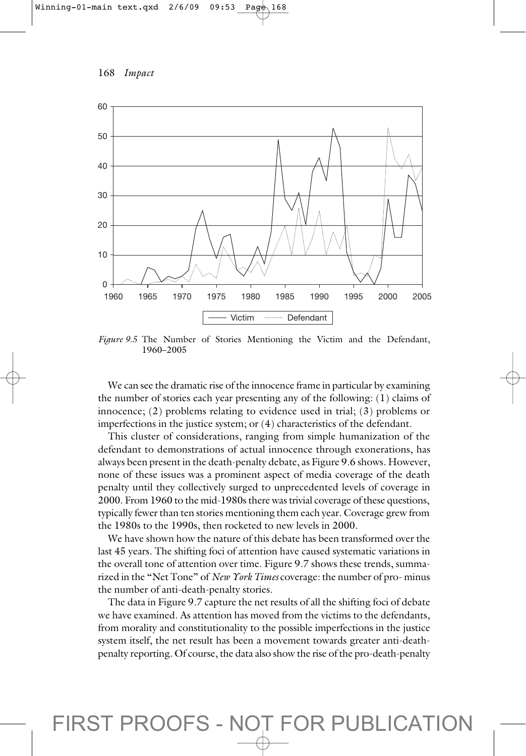



*Figure 9.5* The Number of Stories Mentioning the Victim and the Defendant, 1960–2005

We can see the dramatic rise of the innocence frame in particular by examining the number of stories each year presenting any of the following: (1) claims of innocence; (2) problems relating to evidence used in trial; (3) problems or imperfections in the justice system; or (4) characteristics of the defendant.

This cluster of considerations, ranging from simple humanization of the defendant to demonstrations of actual innocence through exonerations, has always been present in the death-penalty debate, as Figure 9.6 shows. However, none of these issues was a prominent aspect of media coverage of the death penalty until they collectively surged to unprecedented levels of coverage in 2000. From 1960 to the mid-1980s there was trivial coverage of these questions, typically fewer than ten stories mentioning them each year. Coverage grew from the 1980s to the 1990s, then rocketed to new levels in 2000.

We have shown how the nature of this debate has been transformed over the last 45 years. The shifting foci of attention have caused systematic variations in the overall tone of attention over time. Figure 9.7 shows these trends, summarized in the "Net Tone" of *New York Times* coverage: the number of pro- minus the number of anti-death-penalty stories.

The data in Figure 9.7 capture the net results of all the shifting foci of debate we have examined. As attention has moved from the victims to the defendants, from morality and constitutionality to the possible imperfections in the justice system itself, the net result has been a movement towards greater anti-deathpenalty reporting. Of course, the data also show the rise of the pro-death-penalty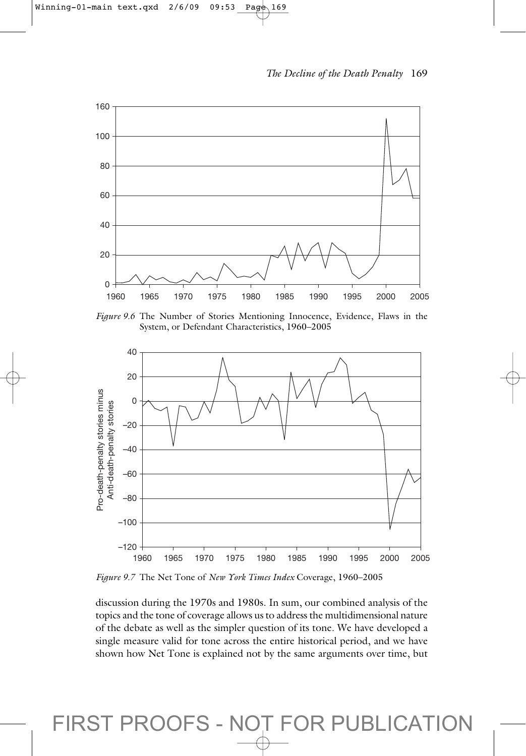*The Decline of the Death Penalty* 169



*Figure 9.6* The Number of Stories Mentioning Innocence, Evidence, Flaws in the System, or Defendant Characteristics, 1960–2005



*Figure 9.7* The Net Tone of *New York Times Index* Coverage, 1960–2005

discussion during the 1970s and 1980s. In sum, our combined analysis of the topics and the tone of coverage allows us to address the multidimensional nature of the debate as well as the simpler question of its tone. We have developed a single measure valid for tone across the entire historical period, and we have shown how Net Tone is explained not by the same arguments over time, but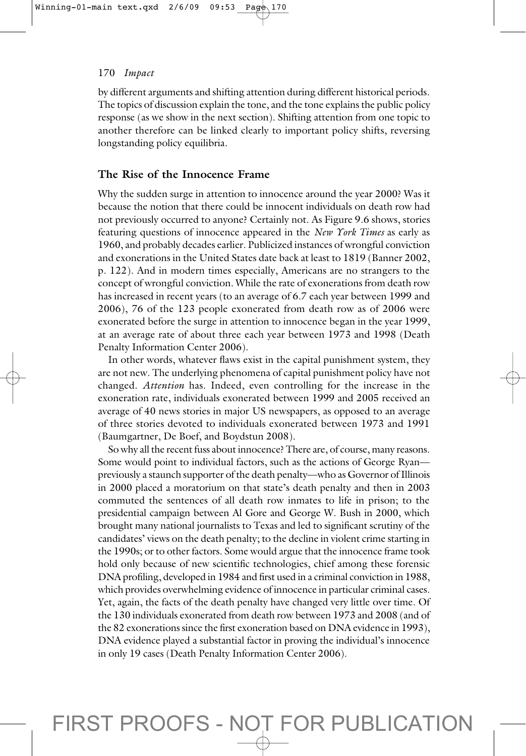by different arguments and shifting attention during different historical periods. The topics of discussion explain the tone, and the tone explains the public policy response (as we show in the next section). Shifting attention from one topic to another therefore can be linked clearly to important policy shifts, reversing longstanding policy equilibria.

# **The Rise of the Innocence Frame**

Why the sudden surge in attention to innocence around the year 2000? Was it because the notion that there could be innocent individuals on death row had not previously occurred to anyone? Certainly not. As Figure 9.6 shows, stories featuring questions of innocence appeared in the *New York Times* as early as 1960, and probably decades earlier. Publicized instances of wrongful conviction and exonerations in the United States date back at least to 1819 (Banner 2002, p. 122). And in modern times especially, Americans are no strangers to the concept of wrongful conviction. While the rate of exonerations from death row has increased in recent years (to an average of 6.7 each year between 1999 and 2006), 76 of the 123 people exonerated from death row as of 2006 were exonerated before the surge in attention to innocence began in the year 1999, at an average rate of about three each year between 1973 and 1998 (Death Penalty Information Center 2006).

In other words, whatever flaws exist in the capital punishment system, they are not new. The underlying phenomena of capital punishment policy have not changed. *Attention* has. Indeed, even controlling for the increase in the exoneration rate, individuals exonerated between 1999 and 2005 received an average of 40 news stories in major US newspapers, as opposed to an average of three stories devoted to individuals exonerated between 1973 and 1991 (Baumgartner, De Boef, and Boydstun 2008).

So why all the recent fuss about innocence? There are, of course, many reasons. Some would point to individual factors, such as the actions of George Ryan previously a staunch supporter of the death penalty—who as Governor of Illinois in 2000 placed a moratorium on that state's death penalty and then in 2003 commuted the sentences of all death row inmates to life in prison; to the presidential campaign between Al Gore and George W. Bush in 2000, which brought many national journalists to Texas and led to significant scrutiny of the candidates' views on the death penalty; to the decline in violent crime starting in the 1990s; or to other factors. Some would argue that the innocence frame took hold only because of new scientific technologies, chief among these forensic DNA profiling, developed in 1984 and first used in a criminal conviction in 1988, which provides overwhelming evidence of innocence in particular criminal cases. Yet, again, the facts of the death penalty have changed very little over time. Of the 130 individuals exonerated from death row between 1973 and 2008 (and of the 82 exonerations since the first exoneration based on DNA evidence in 1993), DNA evidence played a substantial factor in proving the individual's innocence in only 19 cases (Death Penalty Information Center 2006).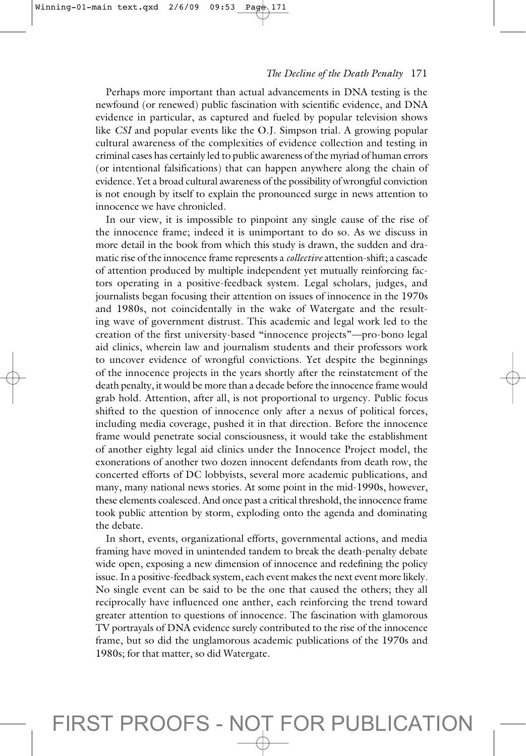Perhaps more important than actual advancements in DNA testing is the newfound (or renewed) public fascination with scientific evidence, and DNA evidence in particular, as captured and fueled by popular television shows like *CSI* and popular events like the O.J. Simpson trial. A growing popular cultural awareness of the complexities of evidence collection and testing in criminal cases has certainly led to public awareness of the myriad of human errors (or intentional falsifications) that can happen anywhere along the chain of evidence. Yet a broad cultural awareness of the possibility of wrongful conviction is not enough by itself to explain the pronounced surge in news attention to innocence we have chronicled.

In our view, it is impossible to pinpoint any single cause of the rise of the innocence frame; indeed it is unimportant to do so. As we discuss in more detail in the book from which this study is drawn, the sudden and dramatic rise of the innocence frame represents a *collective* attention-shift; a cascade of attention produced by multiple independent yet mutually reinforcing factors operating in a positive-feedback system. Legal scholars, judges, and journalists began focusing their attention on issues of innocence in the 1970s and 1980s, not coincidentally in the wake of Watergate and the resulting wave of government distrust. This academic and legal work led to the creation of the first university-based "innocence projects"—pro-bono legal aid clinics, wherein law and journalism students and their professors work to uncover evidence of wrongful convictions. Yet despite the beginnings of the innocence projects in the years shortly after the reinstatement of the death penalty, it would be more than a decade before the innocence frame would grab hold. Attention, after all, is not proportional to urgency. Public focus shifted to the question of innocence only after a nexus of political forces, including media coverage, pushed it in that direction. Before the innocence frame would penetrate social consciousness, it would take the establishment of another eighty legal aid clinics under the Innocence Project model, the exonerations of another two dozen innocent defendants from death row, the concerted efforts of DC lobbyists, several more academic publications, and many, many national news stories. At some point in the mid-1990s, however, these elements coalesced. And once past a critical threshold, the innocence frame took public attention by storm, exploding onto the agenda and dominating the debate.

In short, events, organizational efforts, governmental actions, and media framing have moved in unintended tandem to break the death-penalty debate wide open, exposing a new dimension of innocence and redefining the policy issue. In a positive-feedback system, each event makes the next event more likely. No single event can be said to be the one that caused the others; they all reciprocally have influenced one anther, each reinforcing the trend toward greater attention to questions of innocence. The fascination with glamorous TV portrayals of DNA evidence surely contributed to the rise of the innocence frame, but so did the unglamorous academic publications of the 1970s and 1980s; for that matter, so did Watergate.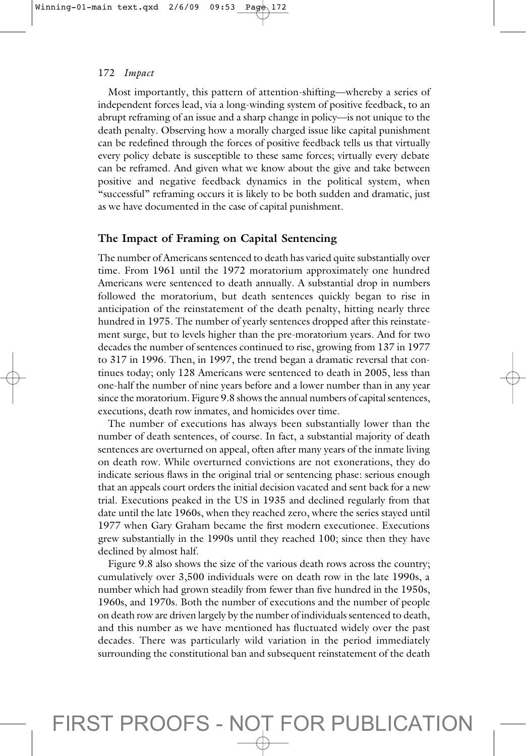Most importantly, this pattern of attention-shifting—whereby a series of independent forces lead, via a long-winding system of positive feedback, to an abrupt reframing of an issue and a sharp change in policy—is not unique to the death penalty. Observing how a morally charged issue like capital punishment can be redefined through the forces of positive feedback tells us that virtually every policy debate is susceptible to these same forces; virtually every debate can be reframed. And given what we know about the give and take between positive and negative feedback dynamics in the political system, when "successful" reframing occurs it is likely to be both sudden and dramatic, just as we have documented in the case of capital punishment.

# **The Impact of Framing on Capital Sentencing**

The number of Americans sentenced to death has varied quite substantially over time. From 1961 until the 1972 moratorium approximately one hundred Americans were sentenced to death annually. A substantial drop in numbers followed the moratorium, but death sentences quickly began to rise in anticipation of the reinstatement of the death penalty, hitting nearly three hundred in 1975. The number of yearly sentences dropped after this reinstatement surge, but to levels higher than the pre-moratorium years. And for two decades the number of sentences continued to rise, growing from 137 in 1977 to 317 in 1996. Then, in 1997, the trend began a dramatic reversal that continues today; only 128 Americans were sentenced to death in 2005, less than one-half the number of nine years before and a lower number than in any year since the moratorium. Figure 9.8 shows the annual numbers of capital sentences, executions, death row inmates, and homicides over time.

The number of executions has always been substantially lower than the number of death sentences, of course. In fact, a substantial majority of death sentences are overturned on appeal, often after many years of the inmate living on death row. While overturned convictions are not exonerations, they do indicate serious flaws in the original trial or sentencing phase: serious enough that an appeals court orders the initial decision vacated and sent back for a new trial. Executions peaked in the US in 1935 and declined regularly from that date until the late 1960s, when they reached zero, where the series stayed until 1977 when Gary Graham became the first modern executionee. Executions grew substantially in the 1990s until they reached 100; since then they have declined by almost half.

Figure 9.8 also shows the size of the various death rows across the country; cumulatively over 3,500 individuals were on death row in the late 1990s, a number which had grown steadily from fewer than five hundred in the 1950s, 1960s, and 1970s. Both the number of executions and the number of people on death row are driven largely by the number of individuals sentenced to death, and this number as we have mentioned has fluctuated widely over the past decades. There was particularly wild variation in the period immediately surrounding the constitutional ban and subsequent reinstatement of the death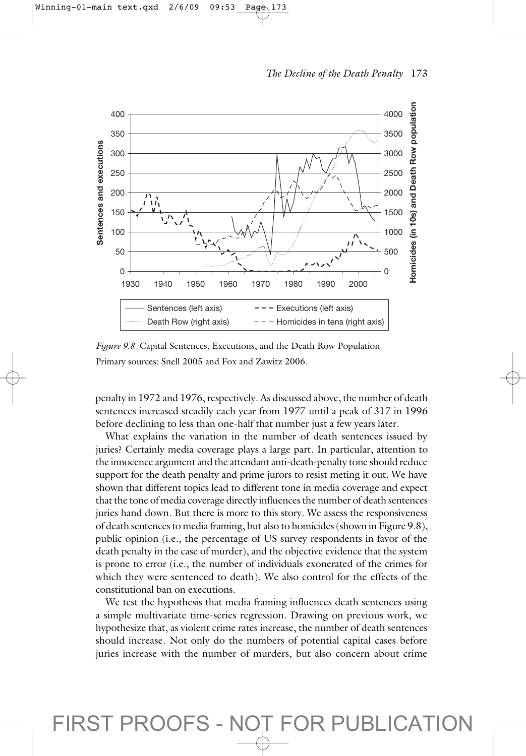

*The Decline of the Death Penalty* 173

*Figure 9.8* Capital Sentences, Executions, and the Death Row Population Primary sources: Snell 2005 and Fox and Zawitz 2006.

penalty in 1972 and 1976, respectively. As discussed above, the number of death sentences increased steadily each year from 1977 until a peak of 317 in 1996 before declining to less than one-half that number just a few years later.

What explains the variation in the number of death sentences issued by juries? Certainly media coverage plays a large part. In particular, attention to the innocence argument and the attendant anti-death-penalty tone should reduce support for the death penalty and prime jurors to resist meting it out. We have shown that different topics lead to different tone in media coverage and expect that the tone of media coverage directly influences the number of death sentences juries hand down. But there is more to this story. We assess the responsiveness of death sentences to media framing, but also to homicides (shown in Figure 9.8), public opinion (i.e., the percentage of US survey respondents in favor of the death penalty in the case of murder), and the objective evidence that the system is prone to error (i.e., the number of individuals exonerated of the crimes for which they were sentenced to death). We also control for the effects of the constitutional ban on executions.

We test the hypothesis that media framing influences death sentences using a simple multivariate time-series regression. Drawing on previous work, we hypothesize that, as violent crime rates increase, the number of death sentences should increase. Not only do the numbers of potential capital cases before juries increase with the number of murders, but also concern about crime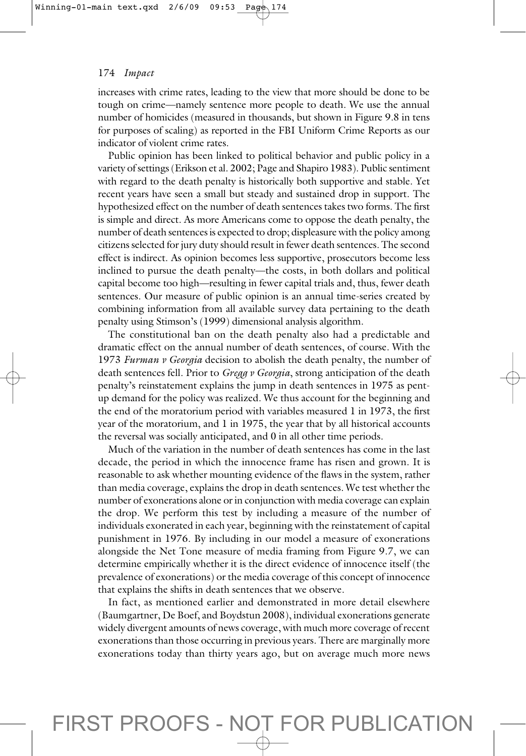increases with crime rates, leading to the view that more should be done to be tough on crime—namely sentence more people to death. We use the annual number of homicides (measured in thousands, but shown in Figure 9.8 in tens for purposes of scaling) as reported in the FBI Uniform Crime Reports as our indicator of violent crime rates.

Public opinion has been linked to political behavior and public policy in a variety of settings (Erikson et al. 2002; Page and Shapiro 1983). Public sentiment with regard to the death penalty is historically both supportive and stable. Yet recent years have seen a small but steady and sustained drop in support. The hypothesized effect on the number of death sentences takes two forms. The first is simple and direct. As more Americans come to oppose the death penalty, the number of death sentences is expected to drop; displeasure with the policy among citizens selected for jury duty should result in fewer death sentences. The second effect is indirect. As opinion becomes less supportive, prosecutors become less inclined to pursue the death penalty—the costs, in both dollars and political capital become too high—resulting in fewer capital trials and, thus, fewer death sentences. Our measure of public opinion is an annual time-series created by combining information from all available survey data pertaining to the death penalty using Stimson's (1999) dimensional analysis algorithm.

The constitutional ban on the death penalty also had a predictable and dramatic effect on the annual number of death sentences, of course. With the 1973 *Furman v Georgia* decision to abolish the death penalty, the number of death sentences fell. Prior to *Gregg v Georgia*, strong anticipation of the death penalty's reinstatement explains the jump in death sentences in 1975 as pentup demand for the policy was realized. We thus account for the beginning and the end of the moratorium period with variables measured 1 in 1973, the first year of the moratorium, and 1 in 1975, the year that by all historical accounts the reversal was socially anticipated, and 0 in all other time periods.

Much of the variation in the number of death sentences has come in the last decade, the period in which the innocence frame has risen and grown. It is reasonable to ask whether mounting evidence of the flaws in the system, rather than media coverage, explains the drop in death sentences. We test whether the number of exonerations alone or in conjunction with media coverage can explain the drop. We perform this test by including a measure of the number of individuals exonerated in each year, beginning with the reinstatement of capital punishment in 1976. By including in our model a measure of exonerations alongside the Net Tone measure of media framing from Figure 9.7, we can determine empirically whether it is the direct evidence of innocence itself (the prevalence of exonerations) or the media coverage of this concept of innocence that explains the shifts in death sentences that we observe.

In fact, as mentioned earlier and demonstrated in more detail elsewhere (Baumgartner, De Boef, and Boydstun 2008), individual exonerations generate widely divergent amounts of news coverage, with much more coverage of recent exonerations than those occurring in previous years. There are marginally more exonerations today than thirty years ago, but on average much more news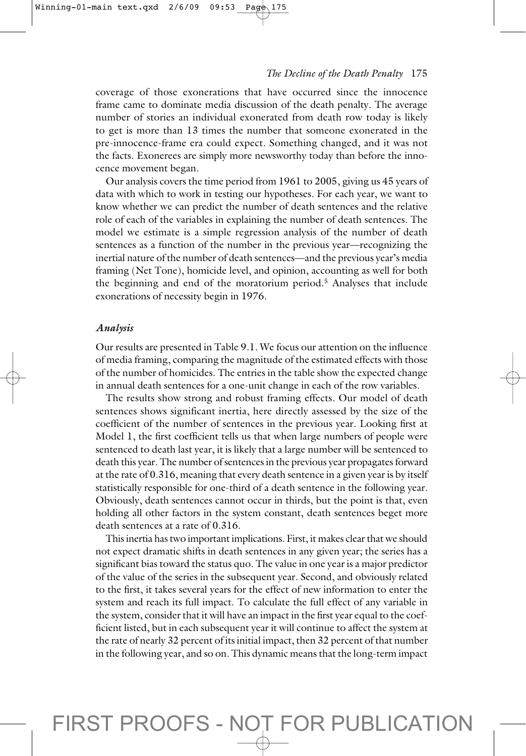coverage of those exonerations that have occurred since the innocence frame came to dominate media discussion of the death penalty. The average number of stories an individual exonerated from death row today is likely to get is more than 13 times the number that someone exonerated in the pre-innocence-frame era could expect. Something changed, and it was not the facts. Exonerees are simply more newsworthy today than before the innocence movement began.

Our analysis covers the time period from 1961 to 2005, giving us 45 years of data with which to work in testing our hypotheses. For each year, we want to know whether we can predict the number of death sentences and the relative role of each of the variables in explaining the number of death sentences. The model we estimate is a simple regression analysis of the number of death sentences as a function of the number in the previous year—recognizing the inertial nature of the number of death sentences—and the previous year's media framing (Net Tone), homicide level, and opinion, accounting as well for both the beginning and end of the moratorium period.<sup>5</sup> Analyses that include exonerations of necessity begin in 1976.

# *Analysis*

Our results are presented in Table 9.1. We focus our attention on the influence of media framing, comparing the magnitude of the estimated effects with those of the number of homicides. The entries in the table show the expected change in annual death sentences for a one-unit change in each of the row variables.

The results show strong and robust framing effects. Our model of death sentences shows significant inertia, here directly assessed by the size of the coefficient of the number of sentences in the previous year. Looking first at Model 1, the first coefficient tells us that when large numbers of people were sentenced to death last year, it is likely that a large number will be sentenced to death this year. The number of sentences in the previous year propagates forward at the rate of 0.316, meaning that every death sentence in a given year is by itself statistically responsible for one-third of a death sentence in the following year. Obviously, death sentences cannot occur in thirds, but the point is that, even holding all other factors in the system constant, death sentences beget more death sentences at a rate of 0.316.

This inertia has two important implications. First, it makes clear that we should not expect dramatic shifts in death sentences in any given year; the series has a significant bias toward the status quo. The value in one year is a major predictor of the value of the series in the subsequent year. Second, and obviously related to the first, it takes several years for the effect of new information to enter the system and reach its full impact. To calculate the full effect of any variable in the system, consider that it will have an impact in the first year equal to the coefficient listed, but in each subsequent year it will continue to affect the system at the rate of nearly 32 percent of its initial impact, then 32 percent of that number in the following year, and so on. This dynamic means that the long-term impact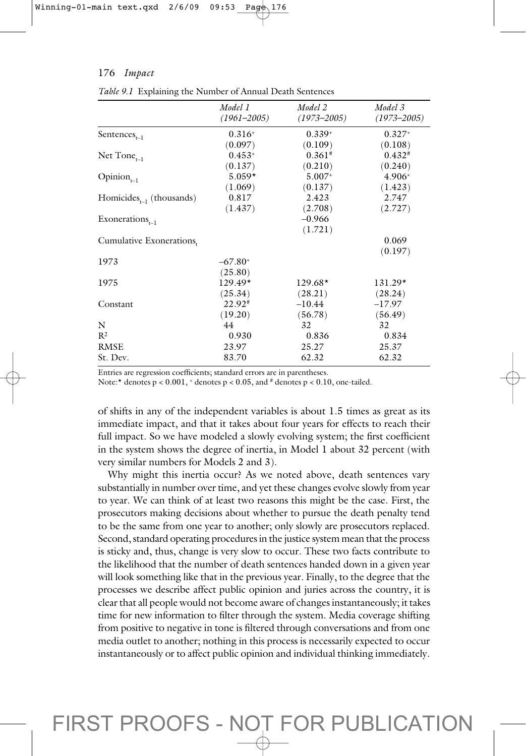| <i>Table 9.1</i> Explaining the Number of Annual Death Sentences |
|------------------------------------------------------------------|
|                                                                  |

|                               | Model 1               | Model 2         | Model 3         |
|-------------------------------|-----------------------|-----------------|-----------------|
|                               | $(1961 - 2005)$       | $(1973 - 2005)$ | $(1973 - 2005)$ |
| $S$ entences $_{t-1}$         | $0.316+$              | $0.339+$        | $0.327+$        |
|                               | (0.097)               | (0.109)         | (0.108)         |
| Net $Tone_{t-1}$              | $0.453^{+}$           | $0.361*$        | $0.432*$        |
|                               | (0.137)               | (0.210)         | (0.240)         |
| $Opinion_{t-1}$               | $5.059*$              | $5.007+$        | $4.906+$        |
|                               | (1.069)               | (0.137)         | (1.423)         |
| $Homicides_{t-1}$ (thousands) | 0.817                 | 2.423           | 2.747           |
|                               | (1.437)               | (2.708)         | (2.727)         |
| Exonerations $_{t-1}$         |                       | $-0.966$        |                 |
|                               |                       | (1.721)         |                 |
| Cumulative Exonerations,      |                       |                 | 0.069           |
|                               |                       |                 | (0.197)         |
| 1973                          | $-67.80$ <sup>+</sup> |                 |                 |
|                               | (25.80)               |                 |                 |
| 1975                          | 129.49*               | $129.68*$       | 131.29*         |
|                               | (25.34)               | (28.21)         | (28.24)         |
| Constant                      | $22.92*$              | $-10.44$        | $-17.97$        |
|                               | (19.20)               | (56.78)         | (56.49)         |
| N                             | 44                    | 32              | 32              |
| $R^2$                         | 0.930                 | 0.836           | 0.834           |
| <b>RMSE</b>                   | 23.97                 | 25.27           | 25.37           |
| St. Dev.                      | 83.70                 | 62.32           | 62.32           |

Entries are regression coefficients; standard errors are in parentheses.

Note:\* denotes  $p < 0.001$ , + denotes  $p < 0.05$ , and  $\#$  denotes  $p < 0.10$ , one-tailed.

of shifts in any of the independent variables is about 1.5 times as great as its immediate impact, and that it takes about four years for effects to reach their full impact. So we have modeled a slowly evolving system; the first coefficient in the system shows the degree of inertia, in Model 1 about 32 percent (with very similar numbers for Models 2 and 3).

Why might this inertia occur? As we noted above, death sentences vary substantially in number over time, and yet these changes evolve slowly from year to year. We can think of at least two reasons this might be the case. First, the prosecutors making decisions about whether to pursue the death penalty tend to be the same from one year to another; only slowly are prosecutors replaced. Second, standard operating procedures in the justice system mean that the process is sticky and, thus, change is very slow to occur. These two facts contribute to the likelihood that the number of death sentences handed down in a given year will look something like that in the previous year. Finally, to the degree that the processes we describe affect public opinion and juries across the country, it is clear that all people would not become aware of changes instantaneously; it takes time for new information to filter through the system. Media coverage shifting from positive to negative in tone is filtered through conversations and from one media outlet to another; nothing in this process is necessarily expected to occur instantaneously or to affect public opinion and individual thinking immediately.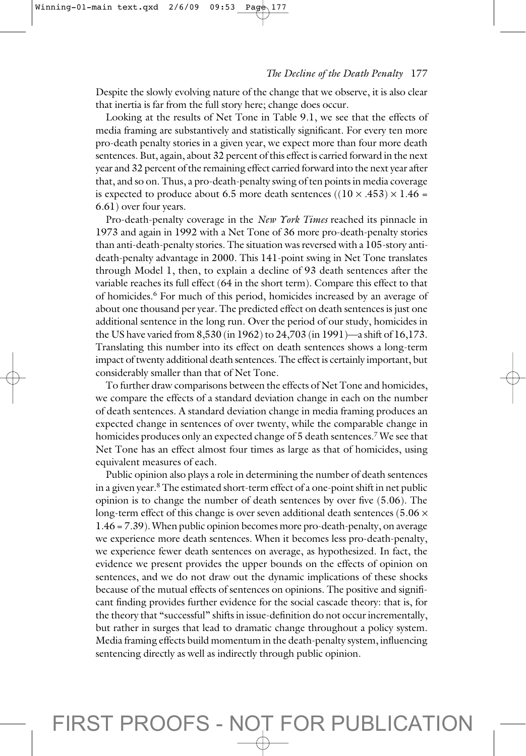Despite the slowly evolving nature of the change that we observe, it is also clear that inertia is far from the full story here; change does occur.

Looking at the results of Net Tone in Table 9.1, we see that the effects of media framing are substantively and statistically significant. For every ten more pro-death penalty stories in a given year, we expect more than four more death sentences. But, again, about 32 percent of this effect is carried forward in the next year and 32 percent of the remaining effect carried forward into the next year after that, and so on. Thus, a pro-death-penalty swing of ten points in media coverage is expected to produce about 6.5 more death sentences (( $10 \times .453$ )  $\times 1.46 =$ 6.61) over four years.

Pro-death-penalty coverage in the *New York Times* reached its pinnacle in 1973 and again in 1992 with a Net Tone of 36 more pro-death-penalty stories than anti-death-penalty stories. The situation was reversed with a 105-story antideath-penalty advantage in 2000. This 141-point swing in Net Tone translates through Model 1, then, to explain a decline of 93 death sentences after the variable reaches its full effect (64 in the short term). Compare this effect to that of homicides.6 For much of this period, homicides increased by an average of about one thousand per year. The predicted effect on death sentences is just one additional sentence in the long run. Over the period of our study, homicides in the US have varied from 8,530 (in 1962) to 24,703 (in 1991)—a shift of 16,173. Translating this number into its effect on death sentences shows a long-term impact of twenty additional death sentences. The effect is certainly important, but considerably smaller than that of Net Tone.

To further draw comparisons between the effects of Net Tone and homicides, we compare the effects of a standard deviation change in each on the number of death sentences. A standard deviation change in media framing produces an expected change in sentences of over twenty, while the comparable change in homicides produces only an expected change of 5 death sentences.<sup>7</sup> We see that Net Tone has an effect almost four times as large as that of homicides, using equivalent measures of each.

Public opinion also plays a role in determining the number of death sentences in a given year.8 The estimated short-term effect of a one-point shift in net public opinion is to change the number of death sentences by over five (5.06). The long-term effect of this change is over seven additional death sentences (5.06  $\times$ 1.46 = 7.39). When public opinion becomes more pro-death-penalty, on average we experience more death sentences. When it becomes less pro-death-penalty, we experience fewer death sentences on average, as hypothesized. In fact, the evidence we present provides the upper bounds on the effects of opinion on sentences, and we do not draw out the dynamic implications of these shocks because of the mutual effects of sentences on opinions. The positive and significant finding provides further evidence for the social cascade theory: that is, for the theory that "successful" shifts in issue-definition do not occur incrementally, but rather in surges that lead to dramatic change throughout a policy system. Media framing effects build momentum in the death-penalty system, influencing sentencing directly as well as indirectly through public opinion.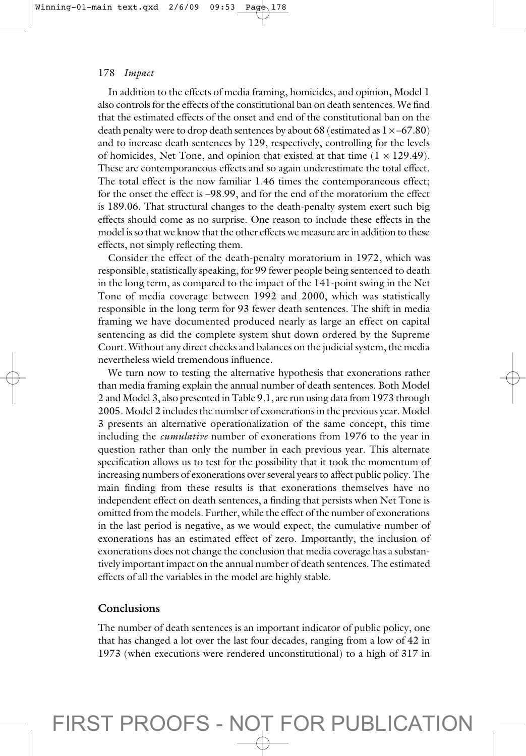In addition to the effects of media framing, homicides, and opinion, Model 1 also controls for the effects of the constitutional ban on death sentences. We find that the estimated effects of the onset and end of the constitutional ban on the death penalty were to drop death sentences by about 68 (estimated as  $1 \times -67.80$ ) and to increase death sentences by 129, respectively, controlling for the levels of homicides, Net Tone, and opinion that existed at that time  $(1 \times 129.49)$ . These are contemporaneous effects and so again underestimate the total effect. The total effect is the now familiar 1.46 times the contemporaneous effect; for the onset the effect is –98.99, and for the end of the moratorium the effect is 189.06. That structural changes to the death-penalty system exert such big effects should come as no surprise. One reason to include these effects in the model is so that we know that the other effects we measure are in addition to these effects, not simply reflecting them.

Consider the effect of the death-penalty moratorium in 1972, which was responsible, statistically speaking, for 99 fewer people being sentenced to death in the long term, as compared to the impact of the 141-point swing in the Net Tone of media coverage between 1992 and 2000, which was statistically responsible in the long term for 93 fewer death sentences. The shift in media framing we have documented produced nearly as large an effect on capital sentencing as did the complete system shut down ordered by the Supreme Court. Without any direct checks and balances on the judicial system, the media nevertheless wield tremendous influence.

We turn now to testing the alternative hypothesis that exonerations rather than media framing explain the annual number of death sentences. Both Model 2 and Model 3, also presented in Table 9.1, are run using data from 1973 through 2005. Model 2 includes the number of exonerations in the previous year. Model 3 presents an alternative operationalization of the same concept, this time including the *cumulative* number of exonerations from 1976 to the year in question rather than only the number in each previous year. This alternate specification allows us to test for the possibility that it took the momentum of increasing numbers of exonerations over several years to affect public policy. The main finding from these results is that exonerations themselves have no independent effect on death sentences, a finding that persists when Net Tone is omitted from the models. Further, while the effect of the number of exonerations in the last period is negative, as we would expect, the cumulative number of exonerations has an estimated effect of zero. Importantly, the inclusion of exonerations does not change the conclusion that media coverage has a substantively important impact on the annual number of death sentences. The estimated effects of all the variables in the model are highly stable.

# **Conclusions**

The number of death sentences is an important indicator of public policy, one that has changed a lot over the last four decades, ranging from a low of 42 in 1973 (when executions were rendered unconstitutional) to a high of 317 in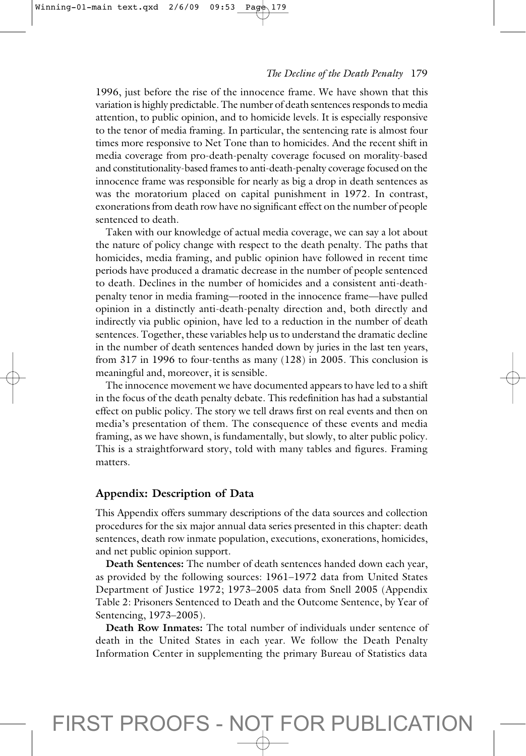1996, just before the rise of the innocence frame. We have shown that this variation is highly predictable. The number of death sentences responds to media attention, to public opinion, and to homicide levels. It is especially responsive to the tenor of media framing. In particular, the sentencing rate is almost four times more responsive to Net Tone than to homicides. And the recent shift in media coverage from pro-death-penalty coverage focused on morality-based and constitutionality-based frames to anti-death-penalty coverage focused on the innocence frame was responsible for nearly as big a drop in death sentences as was the moratorium placed on capital punishment in 1972. In contrast, exonerations from death row have no significant effect on the number of people sentenced to death.

Taken with our knowledge of actual media coverage, we can say a lot about the nature of policy change with respect to the death penalty. The paths that homicides, media framing, and public opinion have followed in recent time periods have produced a dramatic decrease in the number of people sentenced to death. Declines in the number of homicides and a consistent anti-deathpenalty tenor in media framing—rooted in the innocence frame—have pulled opinion in a distinctly anti-death-penalty direction and, both directly and indirectly via public opinion, have led to a reduction in the number of death sentences. Together, these variables help us to understand the dramatic decline in the number of death sentences handed down by juries in the last ten years, from 317 in 1996 to four-tenths as many (128) in 2005. This conclusion is meaningful and, moreover, it is sensible.

The innocence movement we have documented appears to have led to a shift in the focus of the death penalty debate. This redefinition has had a substantial effect on public policy. The story we tell draws first on real events and then on media's presentation of them. The consequence of these events and media framing, as we have shown, is fundamentally, but slowly, to alter public policy. This is a straightforward story, told with many tables and figures. Framing matters.

# **Appendix: Description of Data**

This Appendix offers summary descriptions of the data sources and collection procedures for the six major annual data series presented in this chapter: death sentences, death row inmate population, executions, exonerations, homicides, and net public opinion support.

**Death Sentences:** The number of death sentences handed down each year, as provided by the following sources: 1961–1972 data from United States Department of Justice 1972; 1973–2005 data from Snell 2005 (Appendix Table 2: Prisoners Sentenced to Death and the Outcome Sentence, by Year of Sentencing, 1973–2005).

**Death Row Inmates:** The total number of individuals under sentence of death in the United States in each year. We follow the Death Penalty Information Center in supplementing the primary Bureau of Statistics data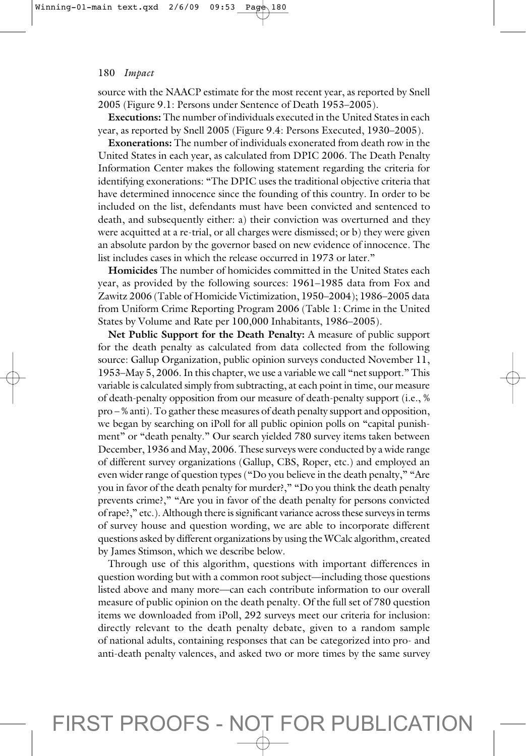source with the NAACP estimate for the most recent year, as reported by Snell 2005 (Figure 9.1: Persons under Sentence of Death 1953–2005).

**Executions:** The number of individuals executed in the United States in each year, as reported by Snell 2005 (Figure 9.4: Persons Executed, 1930–2005).

**Exonerations:** The number of individuals exonerated from death row in the United States in each year, as calculated from DPIC 2006. The Death Penalty Information Center makes the following statement regarding the criteria for identifying exonerations: "The DPIC uses the traditional objective criteria that have determined innocence since the founding of this country. In order to be included on the list, defendants must have been convicted and sentenced to death, and subsequently either: a) their conviction was overturned and they were acquitted at a re-trial, or all charges were dismissed; or b) they were given an absolute pardon by the governor based on new evidence of innocence. The list includes cases in which the release occurred in 1973 or later."

**Homicides** The number of homicides committed in the United States each year, as provided by the following sources: 1961–1985 data from Fox and Zawitz 2006 (Table of Homicide Victimization, 1950–2004); 1986–2005 data from Uniform Crime Reporting Program 2006 (Table 1: Crime in the United States by Volume and Rate per 100,000 Inhabitants, 1986–2005).

**Net Public Support for the Death Penalty:** A measure of public support for the death penalty as calculated from data collected from the following source: Gallup Organization, public opinion surveys conducted November 11, 1953–May 5, 2006. In this chapter, we use a variable we call "net support." This variable is calculated simply from subtracting, at each point in time, our measure of death-penalty opposition from our measure of death-penalty support (i.e., % pro – % anti). To gather these measures of death penalty support and opposition, we began by searching on iPoll for all public opinion polls on "capital punishment" or "death penalty." Our search yielded 780 survey items taken between December, 1936 and May, 2006. These surveys were conducted by a wide range of different survey organizations (Gallup, CBS, Roper, etc.) and employed an even wider range of question types ("Do you believe in the death penalty," "Are you in favor of the death penalty for murder?," "Do you think the death penalty prevents crime?," "Are you in favor of the death penalty for persons convicted of rape?," etc.). Although there is significant variance across these surveys in terms of survey house and question wording, we are able to incorporate different questions asked by different organizations by using the WCalc algorithm, created by James Stimson, which we describe below.

Through use of this algorithm, questions with important differences in question wording but with a common root subject—including those questions listed above and many more—can each contribute information to our overall measure of public opinion on the death penalty. Of the full set of 780 question items we downloaded from iPoll, 292 surveys meet our criteria for inclusion: directly relevant to the death penalty debate, given to a random sample of national adults, containing responses that can be categorized into pro- and anti-death penalty valences, and asked two or more times by the same survey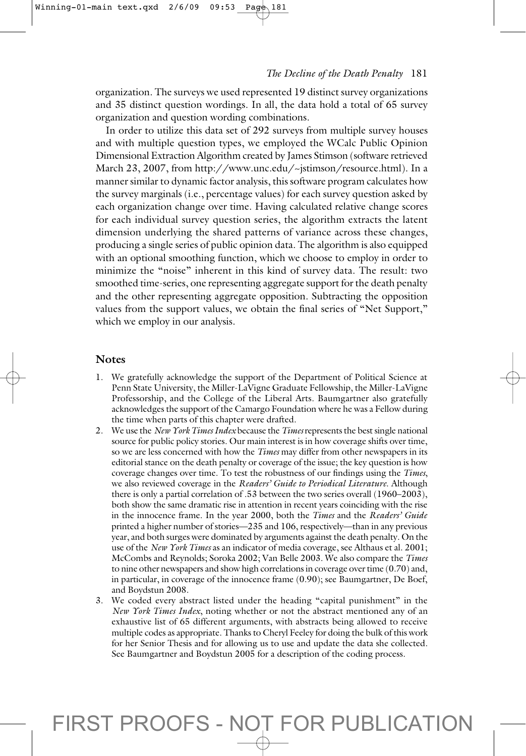organization. The surveys we used represented 19 distinct survey organizations and 35 distinct question wordings. In all, the data hold a total of 65 survey organization and question wording combinations.

In order to utilize this data set of 292 surveys from multiple survey houses and with multiple question types, we employed the WCalc Public Opinion Dimensional Extraction Algorithm created by James Stimson (software retrieved March 23, 2007, from http://www.unc.edu/~jstimson/resource.html). In a manner similar to dynamic factor analysis, this software program calculates how the survey marginals (i.e., percentage values) for each survey question asked by each organization change over time. Having calculated relative change scores for each individual survey question series, the algorithm extracts the latent dimension underlying the shared patterns of variance across these changes, producing a single series of public opinion data. The algorithm is also equipped with an optional smoothing function, which we choose to employ in order to minimize the "noise" inherent in this kind of survey data. The result: two smoothed time-series, one representing aggregate support for the death penalty and the other representing aggregate opposition. Subtracting the opposition values from the support values, we obtain the final series of "Net Support," which we employ in our analysis.

## **Notes**

- 1. We gratefully acknowledge the support of the Department of Political Science at Penn State University, the Miller-LaVigne Graduate Fellowship, the Miller-LaVigne Professorship, and the College of the Liberal Arts. Baumgartner also gratefully acknowledges the support of the Camargo Foundation where he was a Fellow during the time when parts of this chapter were drafted.
- 2. We use the *New York Times Index* because the *Times*represents the best single national source for public policy stories. Our main interest is in how coverage shifts over time, so we are less concerned with how the *Times* may differ from other newspapers in its editorial stance on the death penalty or coverage of the issue; the key question is how coverage changes over time. To test the robustness of our findings using the *Times*, we also reviewed coverage in the *Readers' Guide to Periodical Literature*. Although there is only a partial correlation of .53 between the two series overall (1960–2003), both show the same dramatic rise in attention in recent years coinciding with the rise in the innocence frame. In the year 2000, both the *Times* and the *Readers' Guide* printed a higher number of stories—235 and 106, respectively—than in any previous year, and both surges were dominated by arguments against the death penalty. On the use of the *New York Times* as an indicator of media coverage, see Althaus et al. 2001; McCombs and Reynolds; Soroka 2002; Van Belle 2003. We also compare the *Times* to nine other newspapers and show high correlations in coverage over time (0.70) and, in particular, in coverage of the innocence frame (0.90); see Baumgartner, De Boef, and Boydstun 2008.
- 3. We coded every abstract listed under the heading "capital punishment" in the *New York Times Index*, noting whether or not the abstract mentioned any of an exhaustive list of 65 different arguments, with abstracts being allowed to receive multiple codes as appropriate. Thanks to Cheryl Feeley for doing the bulk of this work for her Senior Thesis and for allowing us to use and update the data she collected. See Baumgartner and Boydstun 2005 for a description of the coding process.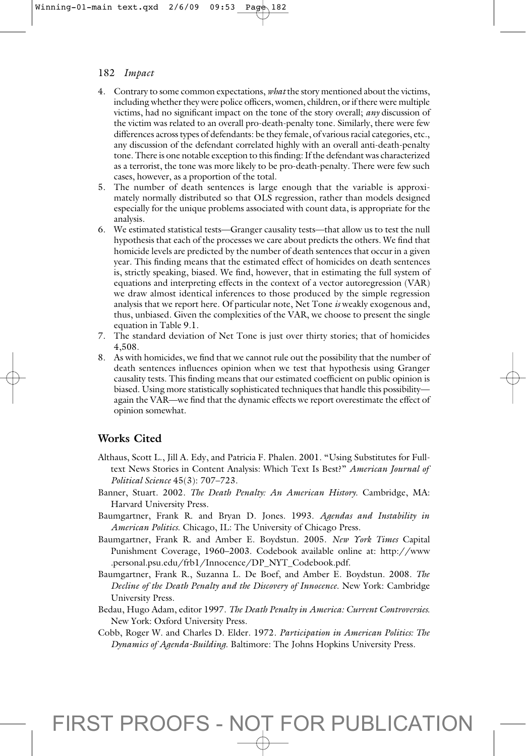- 4. Contrary to some common expectations, *what* the story mentioned about the victims, including whether they were police officers, women, children, or if there were multiple victims, had no significant impact on the tone of the story overall; *any* discussion of the victim was related to an overall pro-death-penalty tone. Similarly, there were few differences across types of defendants: be they female, of various racial categories, etc., any discussion of the defendant correlated highly with an overall anti-death-penalty tone. There is one notable exception to this finding: If the defendant was characterized as a terrorist, the tone was more likely to be pro-death-penalty. There were few such cases, however, as a proportion of the total.
- 5. The number of death sentences is large enough that the variable is approximately normally distributed so that OLS regression, rather than models designed especially for the unique problems associated with count data, is appropriate for the analysis.
- 6. We estimated statistical tests—Granger causality tests—that allow us to test the null hypothesis that each of the processes we care about predicts the others. We find that homicide levels are predicted by the number of death sentences that occur in a given year. This finding means that the estimated effect of homicides on death sentences is, strictly speaking, biased. We find, however, that in estimating the full system of equations and interpreting effects in the context of a vector autoregression (VAR) we draw almost identical inferences to those produced by the simple regression analysis that we report here. Of particular note, Net Tone *is* weakly exogenous and, thus, unbiased. Given the complexities of the VAR, we choose to present the single equation in Table 9.1.
- 7. The standard deviation of Net Tone is just over thirty stories; that of homicides 4,508.
- 8. As with homicides, we find that we cannot rule out the possibility that the number of death sentences influences opinion when we test that hypothesis using Granger causality tests. This finding means that our estimated coefficient on public opinion is biased. Using more statistically sophisticated techniques that handle this possibility again the VAR—we find that the dynamic effects we report overestimate the effect of opinion somewhat.

# **Works Cited**

- Althaus, Scott L., Jill A. Edy, and Patricia F. Phalen. 2001. "Using Substitutes for Fulltext News Stories in Content Analysis: Which Text Is Best?" *American Journal of Political Science* 45(3): 707–723.
- Banner, Stuart. 2002. *The Death Penalty: An American History*. Cambridge, MA: Harvard University Press.
- Baumgartner, Frank R. and Bryan D. Jones. 1993. *Agendas and Instability in American Politics*. Chicago, IL: The University of Chicago Press.
- Baumgartner, Frank R. and Amber E. Boydstun. 2005. *New York Times* Capital Punishment Coverage, 1960–2003. Codebook available online at: http://www .personal.psu.edu/frb1/Innocence/DP\_NYT\_Codebook.pdf.
- Baumgartner, Frank R., Suzanna L. De Boef, and Amber E. Boydstun. 2008. *The Decline of the Death Penalty and the Discovery of Innocence*. New York: Cambridge University Press.
- Bedau, Hugo Adam, editor 1997. *The Death Penalty in America: Current Controversies*. New York: Oxford University Press.
- Cobb, Roger W. and Charles D. Elder. 1972. *Participation in American Politics: The Dynamics of Agenda-Building*. Baltimore: The Johns Hopkins University Press.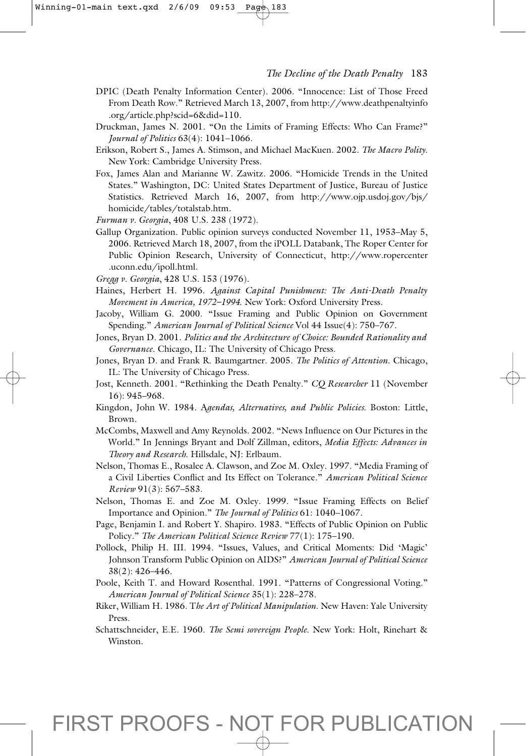- DPIC (Death Penalty Information Center). 2006. "Innocence: List of Those Freed From Death Row." Retrieved March 13, 2007, from http://www.deathpenaltyinfo .org/article.php?scid=6&did=110.
- Druckman, James N. 2001. "On the Limits of Framing Effects: Who Can Frame?" *Journal of Politics* 63(4): 1041–1066.

Erikson, Robert S., James A. Stimson, and Michael MacKuen. 2002. *The Macro Polity*. New York: Cambridge University Press.

Fox, James Alan and Marianne W. Zawitz. 2006. "Homicide Trends in the United States." Washington, DC: United States Department of Justice, Bureau of Justice Statistics. Retrieved March 16, 2007, from http://www.ojp.usdoj.gov/bjs/ homicide/tables/totalstab.htm.

*Furman v. Georgia*, 408 U.S. 238 (1972).

Gallup Organization. Public opinion surveys conducted November 11, 1953–May 5, 2006. Retrieved March 18, 2007, from the iPOLL Databank, The Roper Center for Public Opinion Research, University of Connecticut, http://www.ropercenter .uconn.edu/ipoll.html.

*Gregg v. Georgia*, 428 U.S. 153 (1976).

- Haines, Herbert H. 1996. *Against Capital Punishment: The Anti-Death Penalty Movement in America, 1972–1994*. New York: Oxford University Press.
- Jacoby, William G. 2000. "Issue Framing and Public Opinion on Government Spending." *American Journal of Political Science* Vol 44 Issue(4): 750–767.
- Jones, Bryan D. 2001. *Politics and the Architecture of Choice: Bounded Rationality and Governance*. Chicago, IL: The University of Chicago Press.
- Jones, Bryan D. and Frank R. Baumgartner. 2005. *The Politics of Attention*. Chicago, IL: The University of Chicago Press.
- Jost, Kenneth. 2001. "Rethinking the Death Penalty." *CQ Researcher* 11 (November 16): 945–968.
- Kingdon, John W. 1984. A*gendas, Alternatives, and Public Policies*. Boston: Little, Brown.
- McCombs, Maxwell and Amy Reynolds. 2002. "News Influence on Our Pictures in the World." In Jennings Bryant and Dolf Zillman, editors, *Media Effects: Advances in Theory and Research*. Hillsdale, NJ: Erlbaum.
- Nelson, Thomas E., Rosalee A. Clawson, and Zoe M. Oxley. 1997. "Media Framing of a Civil Liberties Conflict and Its Effect on Tolerance." *American Political Science Review* 91(3): 567–583.
- Nelson, Thomas E. and Zoe M. Oxley. 1999. "Issue Framing Effects on Belief Importance and Opinion." *The Journal of Politics* 61: 1040–1067.
- Page, Benjamin I. and Robert Y. Shapiro. 1983. "Effects of Public Opinion on Public Policy." *The American Political Science Review* 77(1): 175–190.
- Pollock, Philip H. III. 1994. "Issues, Values, and Critical Moments: Did 'Magic' Johnson Transform Public Opinion on AIDS?" *American Journal of Political Science* 38(2): 426–446.
- Poole, Keith T. and Howard Rosenthal. 1991. "Patterns of Congressional Voting." *American Journal of Political Science* 35(1): 228–278.
- Riker, William H. 1986. T*he Art of Political Manipulation*. New Haven: Yale University Press.
- Schattschneider, E.E. 1960. *The Semi sovereign People*. New York: Holt, Rinehart & Winston.